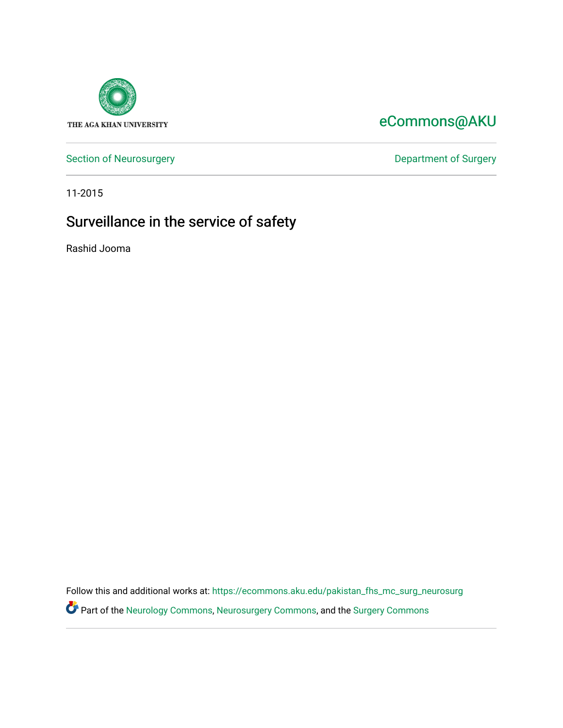

## [eCommons@AKU](https://ecommons.aku.edu/)

[Section of Neurosurgery](https://ecommons.aku.edu/pakistan_fhs_mc_surg_neurosurg) **Department of Surgery** Department of Surgery

11-2015

# Surveillance in the service of safety

Rashid Jooma

Follow this and additional works at: [https://ecommons.aku.edu/pakistan\\_fhs\\_mc\\_surg\\_neurosurg](https://ecommons.aku.edu/pakistan_fhs_mc_surg_neurosurg?utm_source=ecommons.aku.edu%2Fpakistan_fhs_mc_surg_neurosurg%2F228&utm_medium=PDF&utm_campaign=PDFCoverPages)  Part of the [Neurology Commons](http://network.bepress.com/hgg/discipline/692?utm_source=ecommons.aku.edu%2Fpakistan_fhs_mc_surg_neurosurg%2F228&utm_medium=PDF&utm_campaign=PDFCoverPages), [Neurosurgery Commons](http://network.bepress.com/hgg/discipline/1428?utm_source=ecommons.aku.edu%2Fpakistan_fhs_mc_surg_neurosurg%2F228&utm_medium=PDF&utm_campaign=PDFCoverPages), and the [Surgery Commons](http://network.bepress.com/hgg/discipline/706?utm_source=ecommons.aku.edu%2Fpakistan_fhs_mc_surg_neurosurg%2F228&utm_medium=PDF&utm_campaign=PDFCoverPages)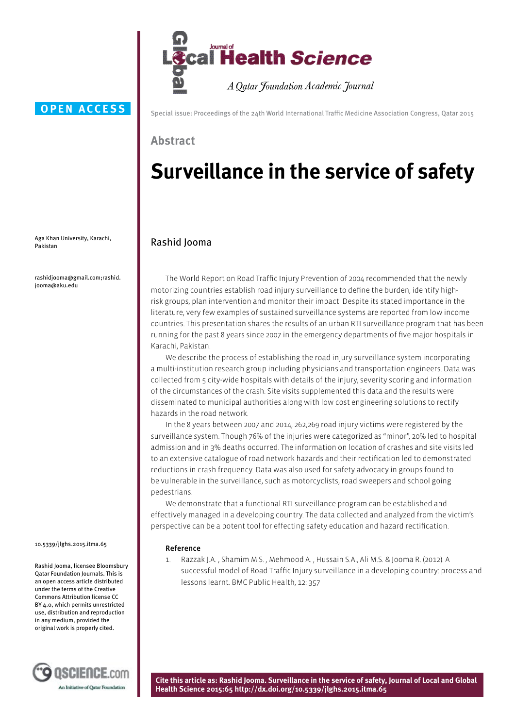

### **OPEN ACCESS**

Aga Khan University, Karachi, Pakistan

rashidjooma@gmail.com;rashid. jooma@aku.edu

10.5339/jlghs.2015.itma.65

Rashid Jooma, licensee Bloomsbury Qatar Foundation Journals. This is an open access article distributed under the terms of the Creative Commons Attribution license CC BY 4.0, which permits unrestricted use, distribution and reproduction in any medium, provided the original work is properly cited.



Special issue: Proceedings of the 24th World International Traffic Medicine Association Congress, Qatar 2015

### **Abstract**

# **Surveillance in the service of safety**

### Rashid Jooma

The World Report on Road Traffic Injury Prevention of 2004 recommended that the newly motorizing countries establish road injury surveillance to define the burden, identify highrisk groups, plan intervention and monitor their impact. Despite its stated importance in the literature, very few examples of sustained surveillance systems are reported from low income countries. This presentation shares the results of an urban RTI surveillance program that has been running for the past 8 years since 2007 in the emergency departments of five major hospitals in Karachi, Pakistan.

We describe the process of establishing the road injury surveillance system incorporating a multi-institution research group including physicians and transportation engineers. Data was collected from 5 city-wide hospitals with details of the injury, severity scoring and information of the circumstances of the crash. Site visits supplemented this data and the results were disseminated to municipal authorities along with low cost engineering solutions to rectify hazards in the road network.

In the 8 years between 2007 and 2014, 262,269 road injury victims were registered by the surveillance system. Though 76% of the injuries were categorized as "minor", 20% led to hospital admission and in 3% deaths occurred. The information on location of crashes and site visits led to an extensive catalogue of road network hazards and their rectification led to demonstrated reductions in crash frequency. Data was also used for safety advocacy in groups found to be vulnerable in the surveillance, such as motorcyclists, road sweepers and school going pedestrians.

We demonstrate that a functional RTI surveillance program can be established and effectively managed in a developing country. The data collected and analyzed from the victim's perspective can be a potent tool for effecting safety education and hazard rectification.

### Reference

Razzak J.A., Shamim M.S., Mehmood A., Hussain S.A., Ali M.S. & Jooma R. (2012). A successful model of Road Traffic Injury surveillance in a developing country: process and lessons learnt. BMC Public Health, 12: 357

**Cite this article as: Rashid Jooma. Surveillance in the service of safety, Journal of Local and Global Health Science 2015:65 http://dx.doi.org/10.5339/jlghs.2015.itma.65**